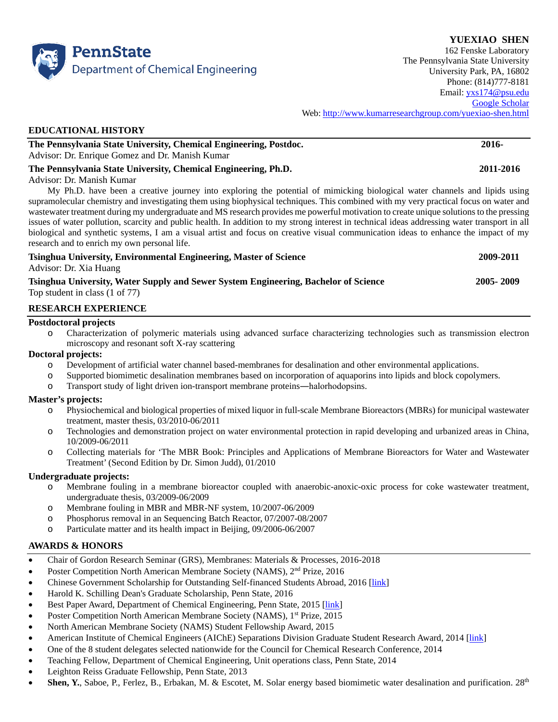

**YUEXIAO SHEN** 162 Fenske Laboratory The Pennsylvania State University University Park, PA, 16802 Phone: (814)777-8181 Email: [yxs174@psu.edu](mailto:yxs174@psu.edu) [Google Scholar](https://scholar.google.com/citations?user=2Sow39sAAAAJ&hl=en) Web: <http://www.kumarresearchgroup.com/yuexiao-shen.html>

## **EDUCATIONAL HISTORY**

| The Pennsylvania State University, Chemical Engineering, Postdoc. | 2016- |
|-------------------------------------------------------------------|-------|
| Advisor: Dr. Enrique Gomez and Dr. Manish Kumar                   |       |

## **The Pennsylvania State University, Chemical Engineering, Ph.D. 2011-2016**

## Advisor: Dr. Manish Kumar

My Ph.D. have been a creative journey into exploring the potential of mimicking biological water channels and lipids using supramolecular chemistry and investigating them using biophysical techniques. This combined with my very practical focus on water and wastewater treatment during my undergraduate and MS research provides me powerful motivation to create unique solutions to the pressing issues of water pollution, scarcity and public health. In addition to my strong interest in technical ideas addressing water transport in all biological and synthetic systems, I am a visual artist and focus on creative visual communication ideas to enhance the impact of my research and to enrich my own personal life.

| Tsinghua University, Environmental Engineering, Master of Science                                                                             | 2009-2011   |
|-----------------------------------------------------------------------------------------------------------------------------------------------|-------------|
| Advisor: Dr. Xia Huang                                                                                                                        |             |
| Tsinghua University, Water Supply and Sewer System Engineering, Bachelor of Science<br>$\sim$ 1 $\sim$ 1 $\sim$ 1 $\sim$ $\sim$ $\sim$ $\sim$ | 2005 - 2009 |

# Top student in class (1 of 77)

# **RESEARCH EXPERIENCE**

### **Postdoctoral projects**

o Characterization of polymeric materials using advanced surface characterizing technologies such as transmission electron microscopy and resonant soft X-ray scattering

## **Doctoral projects:**

- o Development of artificial water channel based-membranes for desalination and other environmental applications.
- o Supported biomimetic desalination membranes based on incorporation of aquaporins into lipids and block copolymers.
- o Transport study of light driven ion-transport membrane proteins―halorhodopsins.

### **Master's projects:**

- o Physiochemical and biological properties of mixed liquor in full-scale Membrane Bioreactors (MBRs) for municipal wastewater treatment, master thesis, 03/2010-06/2011
- o Technologies and demonstration project on water environmental protection in rapid developing and urbanized areas in China, 10/2009-06/2011
- o Collecting materials for 'The MBR Book: Principles and Applications of Membrane Bioreactors for Water and Wastewater Treatment' (Second Edition by Dr. Simon Judd), 01/2010

# **Undergraduate projects:**

- o Membrane fouling in a membrane bioreactor coupled with anaerobic-anoxic-oxic process for coke wastewater treatment, undergraduate thesis, 03/2009-06/2009
- o Membrane fouling in MBR and MBR-NF system, 10/2007-06/2009
- o Phosphorus removal in an Sequencing Batch Reactor, 07/2007-08/2007
- o Particulate matter and its health impact in Beijing, 09/2006-06/2007

# **AWARDS & HONORS**

- Chair of Gordon Research Seminar (GRS), Membranes: Materials & Processes, 2016-2018
- Poster Competition North American Membrane Society (NAMS), 2<sup>nd</sup> Prize, 2016
- Chinese Government Scholarship for Outstanding Self-financed Students Abroad, 2016 [\[link\]](http://www.csc.edu.cn/article/521)
- Harold K. Schilling Dean's Graduate Scholarship, Penn State, 2016
- Best Paper Award, Department of Chemical Engineering, Penn State, 2015 [\[link\]](http://www.che.psu.edu/news/index.htm)
- Poster Competition North American Membrane Society (NAMS), 1<sup>st</sup> Prize, 2015
- North American Membrane Society (NAMS) Student Fellowship Award, 2015
- American Institute of Chemical Engineers (AIChE) Separations Division Graduate Student Research Award, 2014 [\[link\]](http://news.psu.edu/story/318593/2014/06/17/academics/chemical-engineering-graduate-student-shen-receives-research-award?utm_source=newswire&utm_medium=email&utm_term=319120_TEXT&utm_content=06-24-2014-11-20&utm_campaign=engineering%20newswire)
- One of the 8 student delegates selected nationwide for the Council for Chemical Research Conference, 2014
- Teaching Fellow, Department of Chemical Engineering, Unit operations class, Penn State, 2014
- Leighton Reiss Graduate Fellowship, Penn State, 2013
- **Shen, Y.**, Saboe, P., Ferlez, B., Erbakan, M. & Escotet, M. Solar energy based biomimetic water desalination and purification. 28th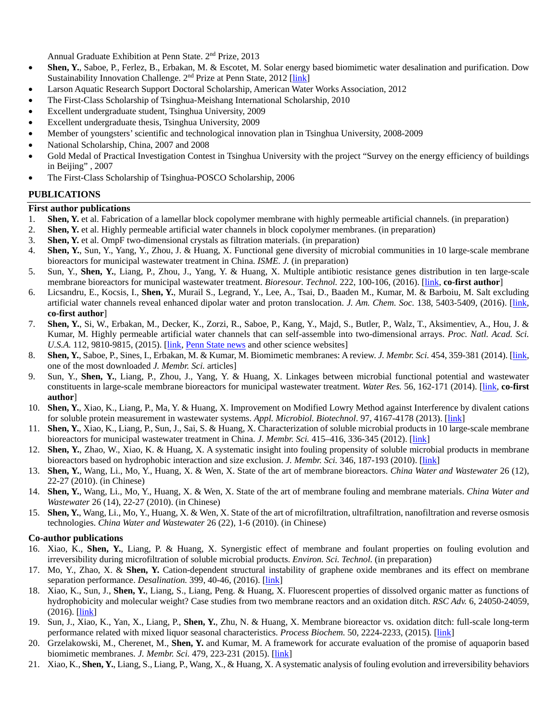Annual Graduate Exhibition at Penn State. 2nd Prize, 2013

- **Shen, Y.**, Saboe, P., Ferlez, B., Erbakan, M. & Escotet, M. Solar energy based biomimetic water desalination and purification. Dow Sustainability Innovation Challenge. 2<sup>nd</sup> Prize at Penn State, 2012 [\[link\]](http://www.dow.com/sustainability/studentchallenge/pdf/2012_Runner_Up_Profile_Penn_State.pdf)
- Larson Aquatic Research Support Doctoral Scholarship, American Water Works Association, 2012
- The First-Class Scholarship of Tsinghua-Meishang International Scholarship, 2010
- Excellent undergraduate student, Tsinghua University, 2009
- Excellent undergraduate thesis, Tsinghua University, 2009
- Member of youngsters' scientific and technological innovation plan in Tsinghua University, 2008-2009
- National Scholarship, China, 2007 and 2008
- Gold Medal of Practical Investigation Contest in Tsinghua University with the project "Survey on the energy efficiency of buildings in Beijing" , 2007
- The First-Class Scholarship of Tsinghua-POSCO Scholarship, 2006

### **PUBLICATIONS**

### **First author publications**

- 1. **Shen, Y.** et al. Fabrication of a lamellar block copolymer membrane with highly permeable artificial channels. (in preparation)
- 2. **Shen, Y.** et al. Highly permeable artificial water channels in block copolymer membranes. (in preparation)
- 3. **Shen, Y.** et al. OmpF two-dimensional crystals as filtration materials. (in preparation)
- 4. **Shen, Y.**, Sun, Y., Yang, Y., Zhou, J. & Huang, X. Functional gene diversity of microbial communities in 10 large-scale membrane bioreactors for municipal wastewater treatment in China. *ISME. J.* (in preparation)
- 5. Sun, Y., **Shen, Y.**, Liang, P., Zhou, J., Yang, Y. & Huang, X. Multiple antibiotic resistance genes distribution in ten large-scale membrane bioreactors for municipal wastewater treatment. *Bioresour. Technol.* 222, 100-106, (2016). [\[link,](http://www.sciencedirect.com/science/article/pii/S0960852416313840) **co-first author**]
- 6. Licsandru, E., Kocsis, I., **Shen, Y.**, Murail S., Legrand, Y., Lee, A., Tsai, D., Baaden M., Kumar, M. & Barboiu, M. Salt excluding artificial water channels reveal enhanced dipolar water and proton translocation. *J. Am. Chem. Soc.* 138, 5403-5409, (2016). [\[link,](http://pubs.acs.org/doi/abs/10.1021/jacs.6b01811)  **co-first author**]
- 7. **Shen, Y.**, Si, W., Erbakan, M., Decker, K., Zorzi, R., Saboe, P., Kang, Y., Majd, S., Butler, P., Walz, T., Aksimentiev, A., Hou, J. & Kumar, M. Highly permeable artificial water channels that can self-assemble into two-dimensional arrays. *Proc. Natl. Acad. Sci. U.S.A.* 112, 9810-9815, (2015). [*link, [Penn State news](http://news.psu.edu/story/363981/2015/07/31/research/self-assembling-biomimetic-membranes-may-aid-water-filtration)* and other science websites]
- 8. **Shen, Y.**, Saboe, P., Sines, I., Erbakan, M. & Kumar, M. Biomimetic membranes: A review. *J. Membr. Sci.* 454, 359-381 (2014). [link, one of the most downloaded *J. Membr. Sci.* articles]
- 9. Sun, Y., **Shen, Y.**, Liang, P., Zhou, J., Yang, Y. & Huang, X. Linkages between microbial functional potential and wastewater constituents in large-scale membrane bioreactors for municipal wastewater treatment. *Water Res.* 56, 162-171 (2014). [\[link,](http://www.sciencedirect.com/science/article/pii/S0043135414001894) **co-first author**]
- 10. **Shen, Y.**, Xiao, K., Liang, P., Ma, Y. & Huang, X. Improvement on Modified Lowry Method against Interference by divalent cations for soluble protein measurement in wastewater systems. *Appl. Microbiol. Biotechnol*. 97, 4167-4178 (2013). [\[link\]](http://link.springer.com/article/10.1007/s00253-013-4783-3)
- 11. **Shen, Y.**, Xiao, K., Liang, P., Sun, J., Sai, S. & Huang, X. Characterization of soluble microbial products in 10 large-scale membrane bioreactors for municipal wastewater treatment in China. *J. Membr. Sci.* 415–416, 336-345 (2012). [\[link\]](http://www.sciencedirect.com/science/article/pii/S037673881200381X)
- 12. **Shen, Y.**, Zhao, W., Xiao, K. & Huang, X. A systematic insight into fouling propensity of soluble microbial products in membrane bioreactors based on hydrophobic interaction and size exclusion. *J. Membr. Sci.* 346, 187-193 (2010). [\[link\]](http://www.sciencedirect.com/science/article/pii/S0376738809006978)
- 13. **Shen, Y.**, Wang, Li., Mo, Y., Huang, X. & Wen, X. State of the art of membrane bioreactors. *China Water and Wastewater* 26 (12), 22-27 (2010). (in Chinese)
- 14. **Shen, Y.**, Wang, Li., Mo, Y., Huang, X. & Wen, X. State of the art of membrane fouling and membrane materials. *China Water and Wastewater* 26 (14), 22-27 (2010). (in Chinese)
- 15. **Shen, Y.**, Wang, Li., Mo, Y., Huang, X. & Wen, X. State of the art of microfiltration, ultrafiltration, nanofiltration and reverse osmosis technologies. *China Water and Wastewater* 26 (22), 1-6 (2010). (in Chinese)

### **Co-author publications**

- 16. Xiao, K., **Shen, Y.**, Liang, P. & Huang, X. Synergistic effect of membrane and foulant properties on fouling evolution and irreversibility during microfiltration of soluble microbial products. *Environ. Sci. Technol.* (in preparation)
- 17. Mo, Y., Zhao, X. & **Shen, Y.** Cation-dependent structural instability of graphene oxide membranes and its effect on membrane separation performance. *Desalination*. 399, 40-46, (2016). [\[link\]](http://www.sciencedirect.com/science/article/pii/S0011916416303393)
- 18. Xiao, K., Sun, J., **Shen, Y.**, Liang, S., Liang, Peng. & Huang, X. Fluorescent properties of dissolved organic matter as functions of hydrophobicity and molecular weight? Case studies from two membrane reactors and an oxidation ditch. *RSC Adv.* 6, 24050-24059, (2016). [\[link\]](http://pubs.rsc.org/en/content/articlelanding/2016/ra/c5ra23167a%23!divAbstract)
- 19. Sun, J., Xiao, K., Yan, X., Liang, P., **Shen, Y.**, Zhu, N. & Huang, X. Membrane bioreactor vs. oxidation ditch: full-scale long-term performance related with mixed liquor seasonal characteristics. *Process Biochem.* 50, 2224-2233, (2015)*.* [\[link\]](http://www.sciencedirect.com/science/article/pii/S1359511315300775)
- 20. Grzelakowski, M., Cherenet, M., **Shen, Y.** and Kumar, M. A framework for accurate evaluation of the promise of aquaporin based biomimetic membranes. *J. Membr. Sci.* 479, 223-231 (2015). [\[link\]](http://www.sciencedirect.com/science/article/pii/S0376738815000393)
- 21. Xiao, K., **Shen, Y.**, Liang, S., Liang, P., Wang, X., & Huang, X. A systematic analysis of fouling evolution and irreversibility behaviors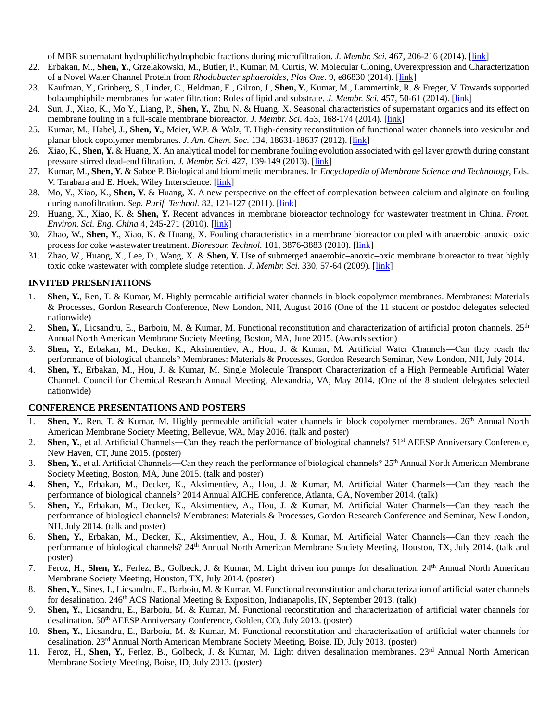of MBR supernatant hydrophilic/hydrophobic fractions during microfiltration. *J. Membr. Sci.* 467, 206-216 (2014). [\[link\]](http://www.sciencedirect.com/science/article/pii/S0376738814004062)

- 22. Erbakan, M., **Shen, Y.**, Grzelakowski, M., Butler, P., Kumar, M, Curtis, W. Molecular Cloning, Overexpression and Characterization of a Novel Water Channel Protein from *Rhodobacter sphaeroides*, *Plos One*. 9, e86830 (2014). [\[link\]](http://www.plosone.org/article/info%3Adoi%2F10.1371%2Fjournal.pone.0086830%23pone-0086830-g006)
- 23. Kaufman, Y., Grinberg, S., Linder, C., Heldman, E., Gilron, J., **Shen, Y.**, Kumar, M., Lammertink, R. & Freger, V. Towards supported bolaamphiphile membranes for water filtration: Roles of lipid and substrate. *J. Membr. Sci.* 457, 50-61 (2014). [\[link\]](http://www.sciencedirect.com/science/article/pii/S0376738814000490)
- 24. Sun, J., Xiao, K., Mo Y., Liang, P., **Shen, Y.**, Zhu, N. & Huang, X. Seasonal characteristics of supernatant organics and its effect on membrane fouling in a full-scale membrane bioreactor. *J. Membr. Sci.* 453, 168-174 (2014). [\[link\]](http://www.sciencedirect.com/science/article/pii/S0376738813008867)
- 25. Kumar, M., Habel, J., **Shen, Y.**, Meier, W.P. & Walz, T. High-density reconstitution of functional water channels into vesicular and planar block copolymer membranes. *J. Am. Chem. Soc.* 134, 18631-18637 (2012). [\[link\]](http://pubs.acs.org/doi/abs/10.1021/ja304721r?mi=uli2s0&af=R&pageSize=20&searchText=nan3)
- 26. Xiao, K., **Shen, Y.** & Huang, X. An analytical model for membrane fouling evolution associated with gel layer growth during constant pressure stirred dead-end filtration. *J. Membr. Sci.* 427, 139-149 (2013). [\[link\]](http://www.sciencedirect.com/science/article/pii/S0376738812007338)
- 27. Kumar, M., **Shen, Y.** & Saboe P. Biological and biomimetic membranes. In *Encyclopedia of Membrane Science and Technology*, Eds. V. Tarabara and E. Hoek, Wiley Interscience. [\[link\]](http://onlinelibrary.wiley.com/doi/10.1002/9781118522318.emst051/abstract;jsessionid=F81731316525289A0F1A66CCA22EED40.f02t03?deniedAccessCustomisedMessage=&userIsAuthenticated=false)
- 28. Mo, Y., Xiao, K., **Shen, Y.** & Huang, X. A new perspective on the effect of complexation between calcium and alginate on fouling during nanofiltration. *Sep. Purif. Technol.* 82, 121-127 (2011). [*link*]
- 29. Huang, X., Xiao, K. & **Shen, Y.** Recent advances in membrane bioreactor technology for wastewater treatment in China. *Front. Environ. Sci. Eng. China* 4, 245-271 (2010). [\[link\]](http://link.springer.com/article/10.1007%2Fs11783-010-0240-z?LI=true)
- 30. Zhao, W., **Shen, Y.**, Xiao, K. & Huang, X. Fouling characteristics in a membrane bioreactor coupled with anaerobic–anoxic–oxic process for coke wastewater treatment. *Bioresour. Technol.* 101, 3876-3883 (2010). [\[link\]](http://www.sciencedirect.com/science/article/pii/S0960852410000647)
- 31. Zhao, W., Huang, X., Lee, D., Wang, X. & **Shen, Y.** Use of submerged anaerobic–anoxic–oxic membrane bioreactor to treat highly toxic coke wastewater with complete sludge retention. *J. Membr. Sci.* 330, 57-64 (2009). [\[link\]](http://www.sciencedirect.com/science/article/pii/S0376738808010788)

### **INVITED PRESENTATIONS**

- 1. **Shen, Y.**, Ren, T. & Kumar, M. Highly permeable artificial water channels in block copolymer membranes. Membranes: Materials & Processes, Gordon Research Conference, New London, NH, August 2016 (One of the 11 student or postdoc delegates selected nationwide)
- 2. **Shen, Y.**, Licsandru, E., Barboiu, M. & Kumar, M. Functional reconstitution and characterization of artificial proton channels.  $25<sup>th</sup>$ Annual North American Membrane Society Meeting, Boston, MA, June 2015. (Awards section)
- 3. **Shen, Y.**, Erbakan, M., Decker, K., Aksimentiev, A., Hou, J. & Kumar, M. Artificial Water Channels―Can they reach the performance of biological channels? Membranes: Materials & Processes, Gordon Research Seminar, New London, NH, July 2014.
- 4. **Shen, Y.**, Erbakan, M., Hou, J. & Kumar, M. Single Molecule Transport Characterization of a High Permeable Artificial Water Channel. Council for Chemical Research Annual Meeting, Alexandria, VA, May 2014. (One of the 8 student delegates selected nationwide)

### **CONFERENCE PRESENTATIONS AND POSTERS**

- **Shen, Y.**, Ren, T. & Kumar, M. Highly permeable artificial water channels in block copolymer membranes. 26<sup>th</sup> Annual North American Membrane Society Meeting, Bellevue, WA, May 2016. (talk and poster)
- 2. **Shen, Y.**, et al. Artificial Channels—Can they reach the performance of biological channels? 51<sup>st</sup> AEESP Anniversary Conference, New Haven, CT, June 2015. (poster)
- 3. **Shen, Y.**, et al. Artificial Channels―Can they reach the performance of biological channels? 25th Annual North American Membrane Society Meeting, Boston, MA, June 2015. (talk and poster)
- 4. **Shen, Y.**, Erbakan, M., Decker, K., Aksimentiev, A., Hou, J. & Kumar, M. Artificial Water Channels―Can they reach the performance of biological channels? 2014 Annual AICHE conference, Atlanta, GA, November 2014. (talk)
- 5. **Shen, Y.**, Erbakan, M., Decker, K., Aksimentiev, A., Hou, J. & Kumar, M. Artificial Water Channels―Can they reach the performance of biological channels? Membranes: Materials & Processes, Gordon Research Conference and Seminar, New London, NH, July 2014. (talk and poster)
- 6. **Shen, Y.**, Erbakan, M., Decker, K., Aksimentiev, A., Hou, J. & Kumar, M. Artificial Water Channels―Can they reach the performance of biological channels? 24th Annual North American Membrane Society Meeting, Houston, TX, July 2014. (talk and poster)
- 7. Feroz, H., **Shen, Y.**, Ferlez, B., Golbeck, J. & Kumar, M. Light driven ion pumps for desalination. 24th Annual North American Membrane Society Meeting, Houston, TX, July 2014. (poster)
- 8. **Shen, Y.**, Sines, I., Licsandru, E., Barboiu, M. & Kumar, M. Functional reconstitution and characterization of artificial water channels for desalination. 246<sup>th</sup> ACS National Meeting & Exposition, Indianapolis, IN, September 2013. (talk)
- 9. **Shen, Y.**, Licsandru, E., Barboiu, M. & Kumar, M. Functional reconstitution and characterization of artificial water channels for desalination. 50<sup>th</sup> AEESP Anniversary Conference, Golden, CO, July 2013. (poster)
- 10. **Shen, Y.**, Licsandru, E., Barboiu, M. & Kumar, M. Functional reconstitution and characterization of artificial water channels for desalination. 23rd Annual North American Membrane Society Meeting, Boise, ID, July 2013. (poster)
- 11. Feroz, H., **Shen, Y.**, Ferlez, B., Golbeck, J. & Kumar, M. Light driven desalination membranes. 23rd Annual North American Membrane Society Meeting, Boise, ID, July 2013. (poster)